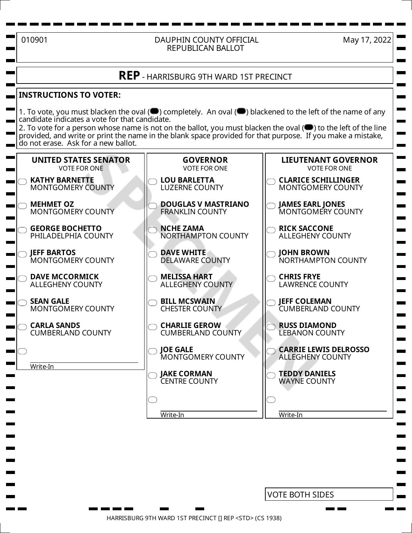## 010901 DAUPHIN COUNTY OFFICIAL REPUBLICAN BALLOT

May 17, 2022

## **REP** - HARRISBURG 9TH WARD 1ST PRECINCT

## **INSTRUCTIONS TO VOTER:**

1. To vote, you must blacken the oval (<sup>1</sup>) completely. An oval (<sup>2</sup>) blackened to the left of the name of any candidate indicates a vote for that candidate.

2. To vote for a person whose name is not on the ballot, you must blacken the oval  $($ **)** to the left of the line provided, and write or print the name in the blank space provided for that purpose. If you make a mistake, do not erase. Ask for a new ballot.